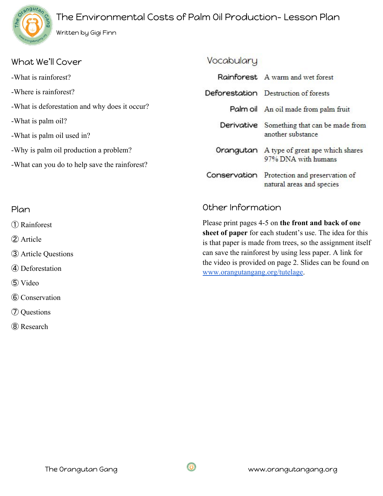# The Environmental Costs of Palm Oil Production- Lesson Plan



② Article

⑤ Video

③ Article Questions

④ Deforestation

⑥ Conservation

⑦ Questions

⑧ Research

| What We'll Cover                              | Vocabulary                                          |                                                                          |
|-----------------------------------------------|-----------------------------------------------------|--------------------------------------------------------------------------|
| -What is rainforest?                          |                                                     | Rainforest A warm and wet forest                                         |
| -Where is rainforest?                         |                                                     | Deforestation Destruction of forests                                     |
| -What is deforestation and why does it occur? |                                                     | Palm oil An oil made from palm fruit                                     |
| -What is palm oil?                            |                                                     | Derivative Something that can be made from                               |
| -What is palm oil used in?                    |                                                     | another substance                                                        |
| -Why is palm oil production a problem?        |                                                     | Orangutan A type of great ape which shares                               |
| -What can you do to help save the rainforest? |                                                     | 97% DNA with humans                                                      |
|                                               |                                                     | Conservation Protection and preservation of<br>natural areas and species |
| Plan                                          | Other Information                                   |                                                                          |
| (1) Rainforest                                | Please print pages 4-5 on the front and back of one |                                                                          |

**sheet of paper** for each student's use. The idea for this is that paper is made from trees, so the assignment itself can save the rainforest by using less paper. A link for the video is provided on page 2. Slides can be found on [www.orangutangang.org/tutelage](http://www.orangutangang.org/tutelage).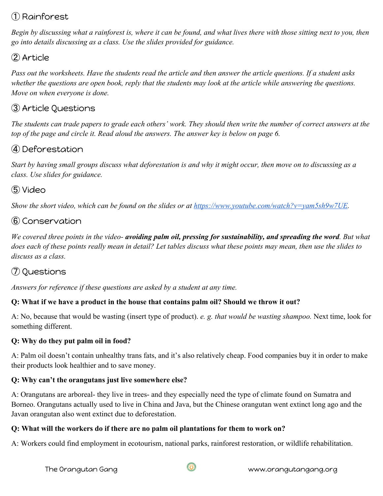# ① Rainforest

*Begin by discussing what a rainforest is, where it can be found, and what lives there with those sitting next to you, then go into details discussing as a class. Use the slides provided for guidance.*

## ② Article

*Pass out the worksheets. Have the students read the article and then answer the article questions. If a student asks whether the questions are open book, reply that the students may look at the article while answering the questions. Move on when everyone is done.*

### ③ Article Questions

*The students can trade papers to grade each others' work. They should then write the number of correct answers at the top of the page and circle it. Read aloud the answers. The answer key is below on page 6.*

# ④ Deforestation

*Start by having small groups discuss what deforestation is and why it might occur, then move on to discussing as a class. Use slides for guidance.*

# ⑤ Video

*Show the short video, which can be found on the slides or at <https://www.youtube.com/watch?v=yam5sh9w7UE>.* 

# ⑥ Conservation

*We covered three points in the video- avoiding palm oil, pressing for sustainability, and spreading the word. But what does each of these points really mean in detail? Let tables discuss what these points may mean, then use the slides to discuss as a class.*

# ⑦ Questions

*Answers for reference if these questions are asked by a student at any time.*

#### **Q: What if we have a product in the house that contains palm oil? Should we throw it out?**

A: No, because that would be wasting (insert type of product). *e. g. that would be wasting shampoo.* Next time, look for something different.

#### **Q: Why do they put palm oil in food?**

A: Palm oil doesn't contain unhealthy trans fats, and it's also relatively cheap. Food companies buy it in order to make their products look healthier and to save money.

#### **Q: Why can't the orangutans just live somewhere else?**

A: Orangutans are arboreal- they live in trees- and they especially need the type of climate found on Sumatra and Borneo. Orangutans actually used to live in China and Java, but the Chinese orangutan went extinct long ago and the Javan orangutan also went extinct due to deforestation.

#### **Q: What will the workers do if there are no palm oil plantations for them to work on?**

A: Workers could find employment in ecotourism, national parks, rainforest restoration, or wildlife rehabilitation.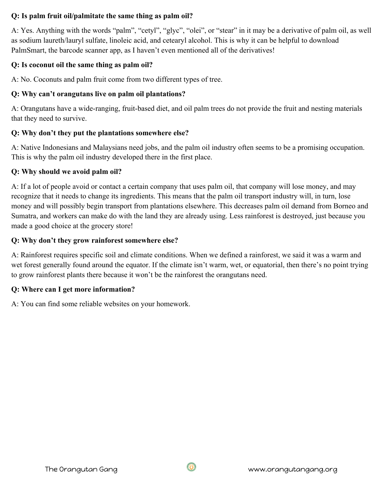#### **Q: Is palm fruit oil/palmitate the same thing as palm oil?**

A: Yes. Anything with the words "palm", "cetyl", "glyc", "olei", or "stear" in it may be a derivative of palm oil, as well as sodium laureth/lauryl sulfate, linoleic acid, and cetearyl alcohol. This is why it can be helpful to download PalmSmart, the barcode scanner app, as I haven't even mentioned all of the derivatives!

#### **Q: Is coconut oil the same thing as palm oil?**

A: No. Coconuts and palm fruit come from two different types of tree.

#### **Q: Why can't orangutans live on palm oil plantations?**

A: Orangutans have a wide-ranging, fruit-based diet, and oil palm trees do not provide the fruit and nesting materials that they need to survive.

#### **Q: Why don't they put the plantations somewhere else?**

A: Native Indonesians and Malaysians need jobs, and the palm oil industry often seems to be a promising occupation. This is why the palm oil industry developed there in the first place.

#### **Q: Why should we avoid palm oil?**

A: If a lot of people avoid or contact a certain company that uses palm oil, that company will lose money, and may recognize that it needs to change its ingredients. This means that the palm oil transport industry will, in turn, lose money and will possibly begin transport from plantations elsewhere. This decreases palm oil demand from Borneo and Sumatra, and workers can make do with the land they are already using. Less rainforest is destroyed, just because you made a good choice at the grocery store!

#### **Q: Why don't they grow rainforest somewhere else?**

A: Rainforest requires specific soil and climate conditions. When we defined a rainforest, we said it was a warm and wet forest generally found around the equator. If the climate isn't warm, wet, or equatorial, then there's no point trying to grow rainforest plants there because it won't be the rainforest the orangutans need.

#### **Q: Where can I get more information?**

A: You can find some reliable websites on your homework.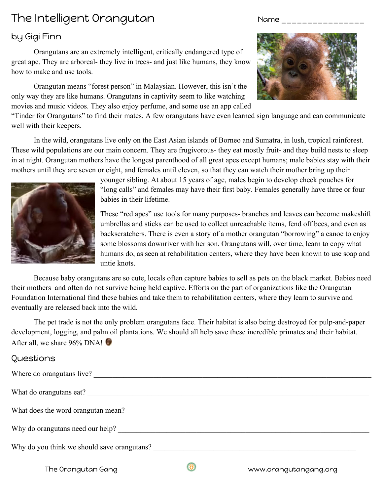# The Intelligent Orangutan Name \_\_\_\_\_\_\_\_\_\_\_\_

### by Gigi Finn

Orangutans are an extremely intelligent, critically endangered type of great ape. They are arboreal- they live in trees- and just like humans, they know how to make and use tools.

Orangutan means "forest person" in Malaysian. However, this isn't the only way they are like humans. Orangutans in captivity seem to like watching movies and music videos. They also enjoy perfume, and some use an app called



"Tinder for Orangutans" to find their mates. A few orangutans have even learned sign language and can communicate well with their keepers.

In the wild, orangutans live only on the East Asian islands of Borneo and Sumatra, in lush, tropical rainforest. These wild populations are our main concern. They are frugivorous- they eat mostly fruit- and they build nests to sleep in at night. Orangutan mothers have the longest parenthood of all great apes except humans; male babies stay with their mothers until they are seven or eight, and females until eleven, so that they can watch their mother bring up their



younger sibling. At about 15 years of age, males begin to develop cheek pouches for "long calls" and females may have their first baby. Females generally have three or four babies in their lifetime.

These "red apes" use tools for many purposes- branches and leaves can become makeshift umbrellas and sticks can be used to collect unreachable items, fend off bees, and even as backscratchers. There is even a story of a mother orangutan "borrowing" a canoe to enjoy some blossoms downriver with her son. Orangutans will, over time, learn to copy what humans do, as seen at rehabilitation centers, where they have been known to use soap and untie knots.

Because baby orangutans are so cute, locals often capture babies to sell as pets on the black market. Babies need their mothers and often do not survive being held captive. Efforts on the part of organizations like the Orangutan Foundation International find these babies and take them to rehabilitation centers, where they learn to survive and eventually are released back into the wild.

The pet trade is not the only problem orangutans face. Their habitat is also being destroyed for pulp-and-paper development, logging, and palm oil plantations. We should all help save these incredible primates and their habitat. After all, we share 96% DNA!

#### Questions

| Where do orangutans live? |  |  |
|---------------------------|--|--|
|                           |  |  |

What do orangutans eat?

What does the word orangutan mean? \_\_\_\_\_\_\_\_\_\_\_\_\_\_\_\_\_\_\_\_\_\_\_\_\_\_\_\_\_\_\_\_\_\_\_\_\_\_\_\_\_\_\_\_\_\_\_\_\_\_\_\_\_\_\_\_\_\_\_\_\_\_\_\_\_

Why do orangutans need our help? \_\_\_\_\_\_\_\_\_\_\_\_\_\_\_\_\_\_\_\_\_\_\_\_\_\_\_\_\_\_\_\_\_\_\_\_\_\_\_\_\_\_\_\_\_\_\_\_\_\_\_\_\_\_\_\_\_\_\_\_\_\_\_\_\_\_\_

Why do you think we should save orangutans?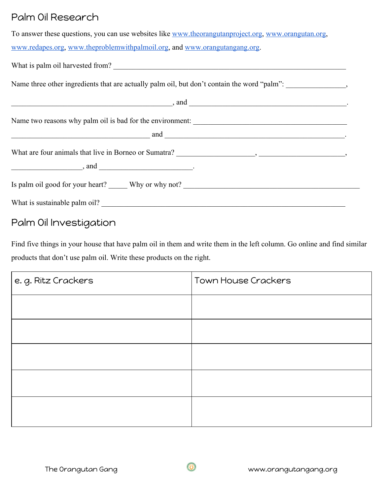# Palm Oil Research

| To answer these questions, you can use websites like www.theorangutanproject.org, www.orangutan.org, |
|------------------------------------------------------------------------------------------------------|
| www.redapes.org. www.theproblemwithpalmoil.org. and www.orangutangang.org.                           |
| What is palm oil harvested from?                                                                     |

Name three other ingredients that are actually palm oil, but don't contain the word "palm": \_\_\_\_\_\_\_\_\_\_\_\_\_\_\_,

| , and                                                                                                                                                                                                                                                                                                                                                                              |  |
|------------------------------------------------------------------------------------------------------------------------------------------------------------------------------------------------------------------------------------------------------------------------------------------------------------------------------------------------------------------------------------|--|
|                                                                                                                                                                                                                                                                                                                                                                                    |  |
| and $\overline{\qquad \qquad }$                                                                                                                                                                                                                                                                                                                                                    |  |
|                                                                                                                                                                                                                                                                                                                                                                                    |  |
| $\frac{1}{2}$ and $\frac{1}{2}$ and $\frac{1}{2}$ and $\frac{1}{2}$ and $\frac{1}{2}$ and $\frac{1}{2}$ and $\frac{1}{2}$ and $\frac{1}{2}$ and $\frac{1}{2}$ and $\frac{1}{2}$ and $\frac{1}{2}$ and $\frac{1}{2}$ and $\frac{1}{2}$ and $\frac{1}{2}$ and $\frac{1}{2}$ and $\frac{1}{2}$ a<br>Is palm oil good for your heart? Why or why not? ________________________________ |  |
| What is sustainable palm oil?                                                                                                                                                                                                                                                                                                                                                      |  |

# Palm Oil Investigation

Find five things in your house that have palm oil in them and write them in the left column. Go online and find similar products that don't use palm oil. Write these products on the right.

| e.g. Ritz Crackers | Town House Crackers |
|--------------------|---------------------|
|                    |                     |
|                    |                     |
|                    |                     |
|                    |                     |
|                    |                     |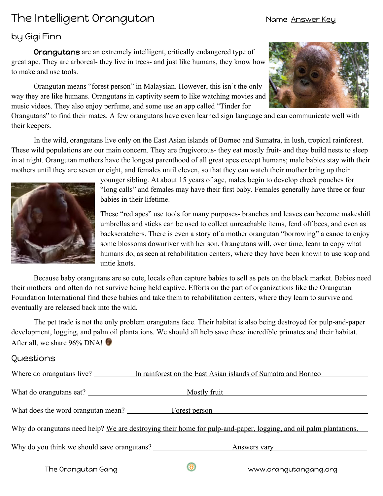# The Intelligent Orangutan Name Answer Key

#### by Gigi Finn

Orangutans are an extremely intelligent, critically endangered type of great ape. They are arboreal- they live in trees- and just like humans, they know how to make and use tools.

Orangutan means "forest person" in Malaysian. However, this isn't the only way they are like humans. Orangutans in captivity seem to like watching movies and music videos. They also enjoy perfume, and some use an app called "Tinder for



Orangutans" to find their mates. A few orangutans have even learned sign language and can communicate well with their keepers.

In the wild, orangutans live only on the East Asian islands of Borneo and Sumatra, in lush, tropical rainforest. These wild populations are our main concern. They are frugivorous- they eat mostly fruit- and they build nests to sleep in at night. Orangutan mothers have the longest parenthood of all great apes except humans; male babies stay with their mothers until they are seven or eight, and females until eleven, so that they can watch their mother bring up their



younger sibling. At about 15 years of age, males begin to develop cheek pouches for "long calls" and females may have their first baby. Females generally have three or four babies in their lifetime.

These "red apes" use tools for many purposes- branches and leaves can become makeshift umbrellas and sticks can be used to collect unreachable items, fend off bees, and even as backscratchers. There is even a story of a mother orangutan "borrowing" a canoe to enjoy some blossoms downriver with her son. Orangutans will, over time, learn to copy what humans do, as seen at rehabilitation centers, where they have been known to use soap and untie knots.

Because baby orangutans are so cute, locals often capture babies to sell as pets on the black market. Babies need their mothers and often do not survive being held captive. Efforts on the part of organizations like the Orangutan Foundation International find these babies and take them to rehabilitation centers, where they learn to survive and eventually are released back into the wild.

The pet trade is not the only problem orangutans face. Their habitat is also being destroyed for pulp-and-paper development, logging, and palm oil plantations. We should all help save these incredible primates and their habitat. After all, we share  $96\%$  DNA!

#### Questions

| Where do orangutans live?                                                                                        | In rainforest on the East Asian islands of Sumatra and Borneo              |  |
|------------------------------------------------------------------------------------------------------------------|----------------------------------------------------------------------------|--|
| What do orangutans eat?                                                                                          | Mostly fruit<br><u> 1980 - Jan James Barnett, fransk politik (d. 1980)</u> |  |
| What does the word orangutan mean? Forest person                                                                 |                                                                            |  |
| Why do orangutans need help? We are destroying their home for pulp-and-paper, logging, and oil palm plantations. |                                                                            |  |
| Why do you think we should save orangutans?                                                                      | Answers vary                                                               |  |
|                                                                                                                  |                                                                            |  |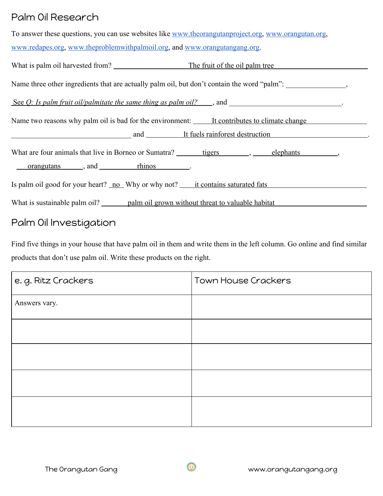# Palm Oil Research

| To answer these questions, you can use websites like www.theorangutanproject.org, www.orangutan.org, |
|------------------------------------------------------------------------------------------------------|
| www.redapes.org, www.theproblemwithpalmoil.org, and www.orangutangang.org.                           |

| What is palm oil harvested from? The fruit of the oil palm tree                                                                                  |  |  |
|--------------------------------------------------------------------------------------------------------------------------------------------------|--|--|
| Name three other ingredients that are actually palm oil, but don't contain the word "palm": _______________,                                     |  |  |
| See $Q$ : Is palm fruit oil/palmitate the same thing as palm oil? $\Box$ , and $\Box$                                                            |  |  |
| Name two reasons why palm oil is bad for the environment: <u>It contributes to climate change</u><br>and It fuels rainforest destruction         |  |  |
| What are four animals that live in Borneo or Sumatra? _______ tigers _______, _____ elephants _________,<br><u>orangutans</u> , and <u>hinos</u> |  |  |
| Is palm oil good for your heart? no Why or why not? it contains saturated fats                                                                   |  |  |
|                                                                                                                                                  |  |  |

# Palm Oil Investigation

Find five things in your house that have palm oil in them and write them in the left column. Go online and find similar products that don't use palm oil. Write these products on the right.

| e.g. Ritz Crackers | <b>Town House Crackers</b> |
|--------------------|----------------------------|
| Answers vary.      |                            |
|                    |                            |
|                    |                            |
|                    |                            |
|                    |                            |